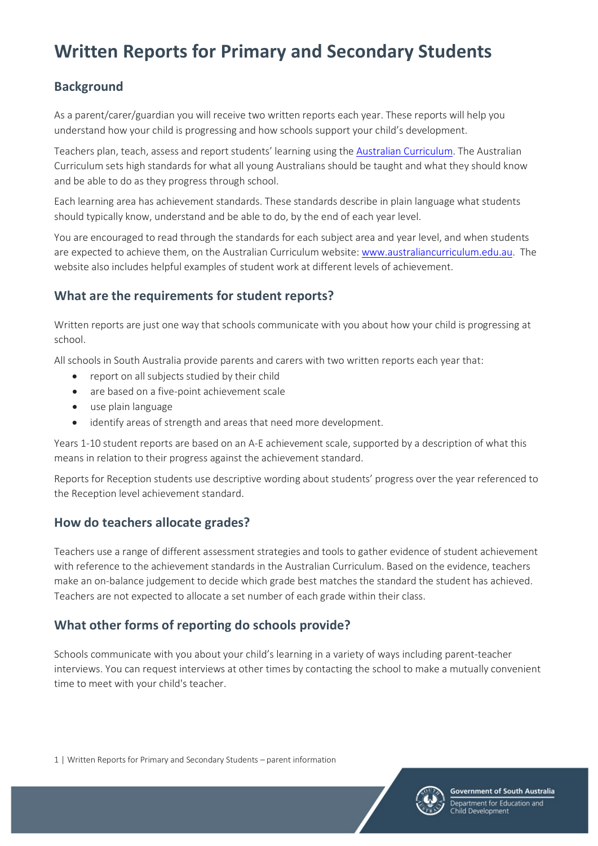# **Written Reports for Primary and Secondary Students**

# **Background**

As a parent/carer/guardian you will receive two written reports each year. These reports will help you understand how your child is progressing and how schools support your child's development.

Teachers plan, teach, assess and report students' learning using the [Australian Curriculum.](http://www.australiancurriculum.edu.au/) The Australian Curriculum sets high standards for what all young Australians should be taught and what they should know and be able to do as they progress through school.

Each learning area has achievement standards. These standards describe in plain language what students should typically know, understand and be able to do, by the end of each year level.

You are encouraged to read through the standards for each subject area and year level, and when students are expected to achieve them, on the Australian Curriculum website: [www.australiancurriculum.edu.au.](http://www.australiancurriculum.edu.au/) The website also includes helpful examples of student work at different levels of achievement.

### **What are the requirements for student reports?**

Written reports are just one way that schools communicate with you about how your child is progressing at school.

All schools in South Australia provide parents and carers with two written reports each year that:

- report on all subjects studied by their child
- are based on a five-point achievement scale
- use plain language
- identify areas of strength and areas that need more development.

Years 1-10 student reports are based on an A-E achievement scale, supported by a description of what this means in relation to their progress against the achievement standard.

Reports for Reception students use descriptive wording about students' progress over the year referenced to the Reception level achievement standard.

### **How do teachers allocate grades?**

Teachers use a range of different assessment strategies and tools to gather evidence of student achievement with reference to the achievement standards in the Australian Curriculum. Based on the evidence, teachers make an on-balance judgement to decide which grade best matches the standard the student has achieved. Teachers are not expected to allocate a set number of each grade within their class.

# **What other forms of reporting do schools provide?**

Schools communicate with you about your child's learning in a variety of ways including parent-teacher interviews. You can request interviews at other times by contacting the school to make a mutually convenient time to meet with your child's teacher.

1 | Written Reports for Primary and Secondary Students – parent information